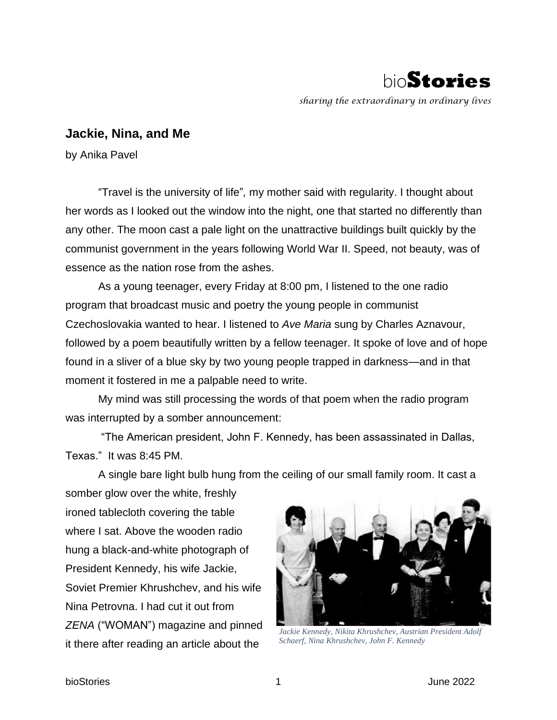

*sharing the extraordinary in ordinary lives*

## **Jackie, Nina, and Me**

by Anika Pavel

"Travel is the university of life"*,* my mother said with regularity. I thought about her words as I looked out the window into the night, one that started no differently than any other. The moon cast a pale light on the unattractive buildings built quickly by the communist government in the years following World War II. Speed, not beauty, was of essence as the nation rose from the ashes.

As a young teenager, every Friday at 8:00 pm, I listened to the one radio program that broadcast music and poetry the young people in communist Czechoslovakia wanted to hear. I listened to *Ave Maria* sung by Charles Aznavour, followed by a poem beautifully written by a fellow teenager. It spoke of love and of hope found in a sliver of a blue sky by two young people trapped in darkness—and in that moment it fostered in me a palpable need to write.

My mind was still processing the words of that poem when the radio program was interrupted by a somber announcement:

"The American president, John F. Kennedy, has been assassinated in Dallas, Texas." It was 8:45 PM.

A single bare light bulb hung from the ceiling of our small family room. It cast a

somber glow over the white, freshly ironed tablecloth covering the table where I sat. Above the wooden radio hung a black-and-white photograph of President Kennedy, his wife Jackie, Soviet Premier Khrushchev, and his wife Nina Petrovna. I had cut it out from *ZENA* ("WOMAN") magazine and pinned it there after reading an article about the



*Jackie Kennedy, Nikita Khrushchev, Austrian President Adolf Schaerf, Nina Khrushchev, John F. Kennedy*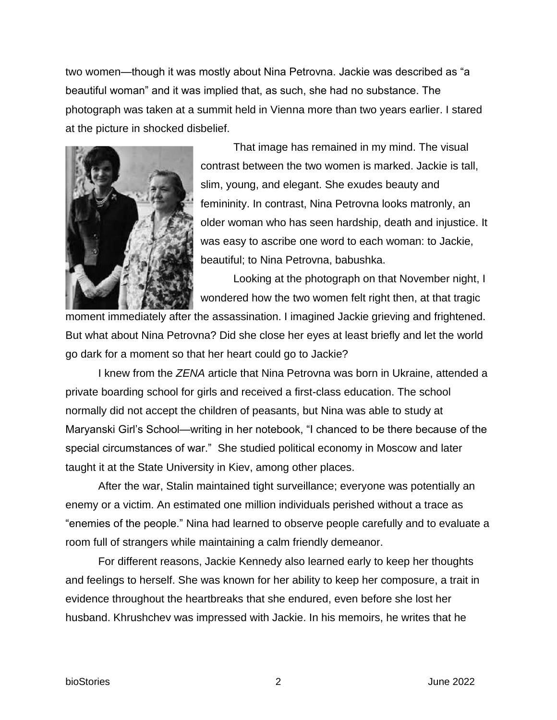two women—though it was mostly about Nina Petrovna. Jackie was described as "a beautiful woman" and it was implied that, as such, she had no substance. The photograph was taken at a summit held in Vienna more than two years earlier. I stared at the picture in shocked disbelief.



That image has remained in my mind. The visual contrast between the two women is marked. Jackie is tall, slim, young, and elegant. She exudes beauty and femininity. In contrast, Nina Petrovna looks matronly, an older woman who has seen hardship, death and injustice. It was easy to ascribe one word to each woman: to Jackie, beautiful; to Nina Petrovna, babushka.

Looking at the photograph on that November night, I wondered how the two women felt right then, at that tragic

moment immediately after the assassination. I imagined Jackie grieving and frightened. But what about Nina Petrovna? Did she close her eyes at least briefly and let the world go dark for a moment so that her heart could go to Jackie?

I knew from the *ZENA* article that Nina Petrovna was born in Ukraine, attended a private boarding school for girls and received a first-class education. The school normally did not accept the children of peasants, but Nina was able to study at Maryanski Girl's School—writing in her notebook, "I chanced to be there because of the special circumstances of war." She studied political economy in Moscow and later taught it at the State University in Kiev, among other places.

After the war, Stalin maintained tight surveillance; everyone was potentially an enemy or a victim. An estimated one million individuals perished without a trace as "enemies of the people." Nina had learned to observe people carefully and to evaluate a room full of strangers while maintaining a calm friendly demeanor.

For different reasons, Jackie Kennedy also learned early to keep her thoughts and feelings to herself. She was known for her ability to keep her composure, a trait in evidence throughout the heartbreaks that she endured, even before she lost her husband. Khrushchev was impressed with Jackie. In his memoirs, he writes that he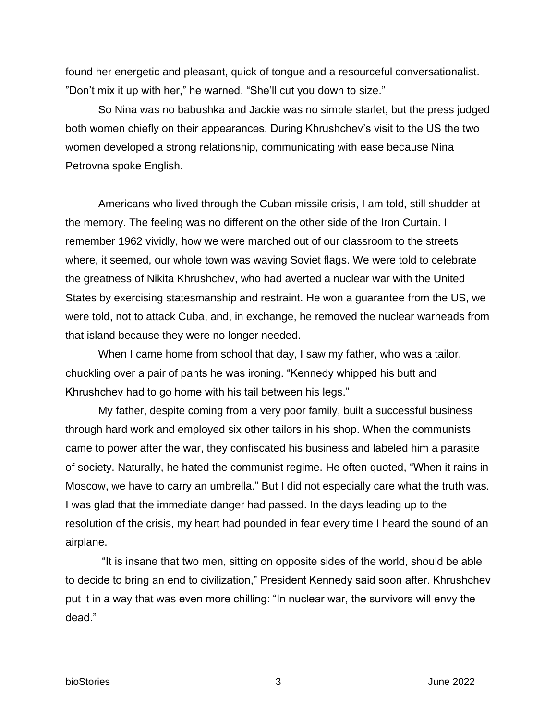found her energetic and pleasant, quick of tongue and a resourceful conversationalist. "Don't mix it up with her," he warned. "She'll cut you down to size."

So Nina was no babushka and Jackie was no simple starlet, but the press judged both women chiefly on their appearances. During Khrushchev's visit to the US the two women developed a strong relationship, communicating with ease because Nina Petrovna spoke English.

Americans who lived through the Cuban missile crisis, I am told, still shudder at the memory. The feeling was no different on the other side of the Iron Curtain. I remember 1962 vividly, how we were marched out of our classroom to the streets where, it seemed, our whole town was waving Soviet flags. We were told to celebrate the greatness of Nikita Khrushchev, who had averted a nuclear war with the United States by exercising statesmanship and restraint. He won a guarantee from the US, we were told, not to attack Cuba, and, in exchange, he removed the nuclear warheads from that island because they were no longer needed.

When I came home from school that day, I saw my father, who was a tailor, chuckling over a pair of pants he was ironing. "Kennedy whipped his butt and Khrushchev had to go home with his tail between his legs."

My father, despite coming from a very poor family, built a successful business through hard work and employed six other tailors in his shop. When the communists came to power after the war, they confiscated his business and labeled him a parasite of society. Naturally, he hated the communist regime. He often quoted, "When it rains in Moscow, we have to carry an umbrella." But I did not especially care what the truth was. I was glad that the immediate danger had passed. In the days leading up to the resolution of the crisis, my heart had pounded in fear every time I heard the sound of an airplane.

 "It is insane that two men, sitting on opposite sides of the world, should be able to decide to bring an end to civilization," President Kennedy said soon after. Khrushchev put it in a way that was even more chilling: "In nuclear war, the survivors will envy the dead."

bioStories 3 June 2022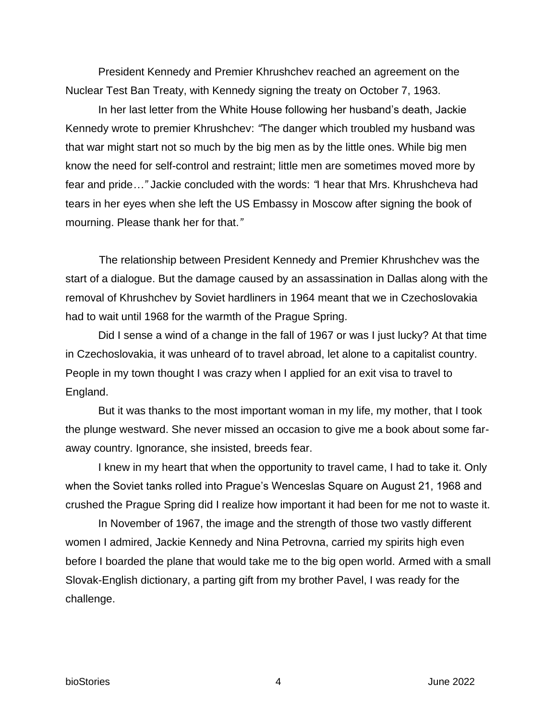President Kennedy and Premier Khrushchev reached an agreement on the Nuclear Test Ban Treaty, with Kennedy signing the treaty on October 7, 1963.

In her last letter from the White House following her husband's death, Jackie Kennedy wrote to premier Khrushchev: *"*The danger which troubled my husband was that war might start not so much by the big men as by the little ones. While big men know the need for self-control and restraint; little men are sometimes moved more by fear and pride*…"* Jackie concluded with the words: *"*I hear that Mrs. Khrushcheva had tears in her eyes when she left the US Embassy in Moscow after signing the book of mourning. Please thank her for that.*"*

 The relationship between President Kennedy and Premier Khrushchev was the start of a dialogue. But the damage caused by an assassination in Dallas along with the removal of Khrushchev by Soviet hardliners in 1964 meant that we in Czechoslovakia had to wait until 1968 for the warmth of the Prague Spring.

Did I sense a wind of a change in the fall of 1967 or was I just lucky? At that time in Czechoslovakia, it was unheard of to travel abroad, let alone to a capitalist country. People in my town thought I was crazy when I applied for an exit visa to travel to England.

But it was thanks to the most important woman in my life, my mother, that I took the plunge westward. She never missed an occasion to give me a book about some faraway country. Ignorance, she insisted, breeds fear.

I knew in my heart that when the opportunity to travel came, I had to take it. Only when the Soviet tanks rolled into Prague's Wenceslas Square on August 21, 1968 and crushed the Prague Spring did I realize how important it had been for me not to waste it.

In November of 1967, the image and the strength of those two vastly different women I admired, Jackie Kennedy and Nina Petrovna, carried my spirits high even before I boarded the plane that would take me to the big open world. Armed with a small Slovak-English dictionary, a parting gift from my brother Pavel, I was ready for the challenge.

bioStories 4 June 2022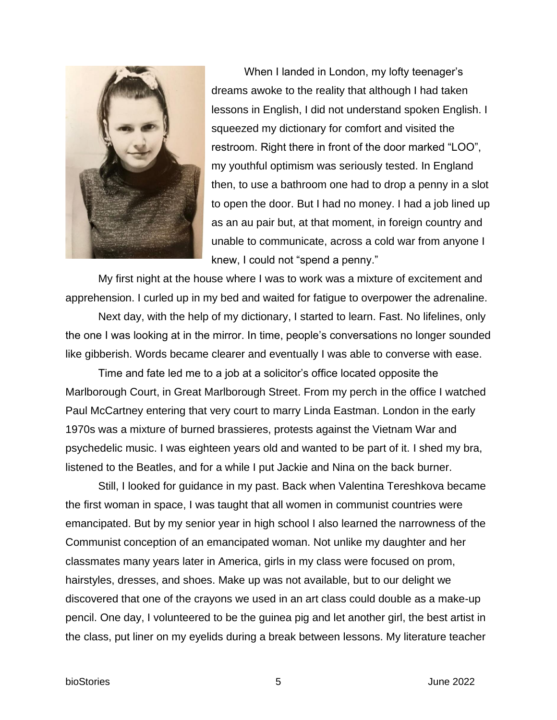

When I landed in London, my lofty teenager's dreams awoke to the reality that although I had taken lessons in English, I did not understand spoken English. I squeezed my dictionary for comfort and visited the restroom. Right there in front of the door marked "LOO", my youthful optimism was seriously tested. In England then, to use a bathroom one had to drop a penny in a slot to open the door. But I had no money. I had a job lined up as an au pair but, at that moment, in foreign country and unable to communicate, across a cold war from anyone I knew, I could not "spend a penny."

My first night at the house where I was to work was a mixture of excitement and apprehension. I curled up in my bed and waited for fatigue to overpower the adrenaline.

Next day, with the help of my dictionary, I started to learn. Fast. No lifelines, only the one I was looking at in the mirror. In time, people's conversations no longer sounded like gibberish. Words became clearer and eventually I was able to converse with ease.

Time and fate led me to a job at a solicitor's office located opposite the Marlborough Court, in Great Marlborough Street. From my perch in the office I watched Paul McCartney entering that very court to marry Linda Eastman. London in the early 1970s was a mixture of burned brassieres, protests against the Vietnam War and psychedelic music. I was eighteen years old and wanted to be part of it. I shed my bra, listened to the Beatles, and for a while I put Jackie and Nina on the back burner.

Still, I looked for guidance in my past. Back when Valentina Tereshkova became the first woman in space, I was taught that all women in communist countries were emancipated. But by my senior year in high school I also learned the narrowness of the Communist conception of an emancipated woman. Not unlike my daughter and her classmates many years later in America, girls in my class were focused on prom, hairstyles, dresses, and shoes. Make up was not available, but to our delight we discovered that one of the crayons we used in an art class could double as a make-up pencil. One day, I volunteered to be the guinea pig and let another girl, the best artist in the class, put liner on my eyelids during a break between lessons. My literature teacher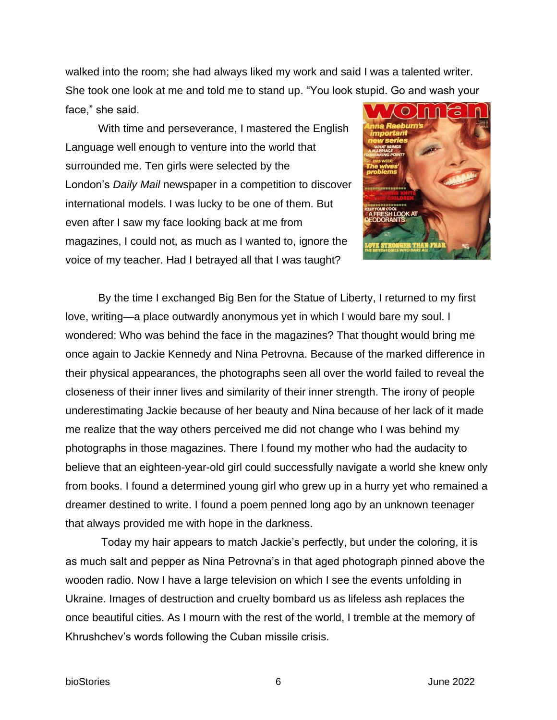walked into the room; she had always liked my work and said I was a talented writer. She took one look at me and told me to stand up. "You look stupid. Go and wash your face," she said.  $\bigcirc$ 

With time and perseverance, I mastered the English Language well enough to venture into the world that surrounded me. Ten girls were selected by the London's *Daily Mail* newspaper in a competition to discover international models. I was lucky to be one of them. But even after I saw my face looking back at me from magazines, I could not, as much as I wanted to, ignore the voice of my teacher. Had I betrayed all that I was taught?



By the time I exchanged Big Ben for the Statue of Liberty, I returned to my first love, writing—a place outwardly anonymous yet in which I would bare my soul. I wondered: Who was behind the face in the magazines? That thought would bring me once again to Jackie Kennedy and Nina Petrovna. Because of the marked difference in their physical appearances, the photographs seen all over the world failed to reveal the closeness of their inner lives and similarity of their inner strength. The irony of people underestimating Jackie because of her beauty and Nina because of her lack of it made me realize that the way others perceived me did not change who I was behind my photographs in those magazines. There I found my mother who had the audacity to believe that an eighteen-year-old girl could successfully navigate a world she knew only from books. I found a determined young girl who grew up in a hurry yet who remained a dreamer destined to write. I found a poem penned long ago by an unknown teenager that always provided me with hope in the darkness.

Today my hair appears to match Jackie's perfectly, but under the coloring, it is as much salt and pepper as Nina Petrovna's in that aged photograph pinned above the wooden radio. Now I have a large television on which I see the events unfolding in Ukraine. Images of destruction and cruelty bombard us as lifeless ash replaces the once beautiful cities. As I mourn with the rest of the world, I tremble at the memory of Khrushchev's words following the Cuban missile crisis.

bioStories 6 June 2022